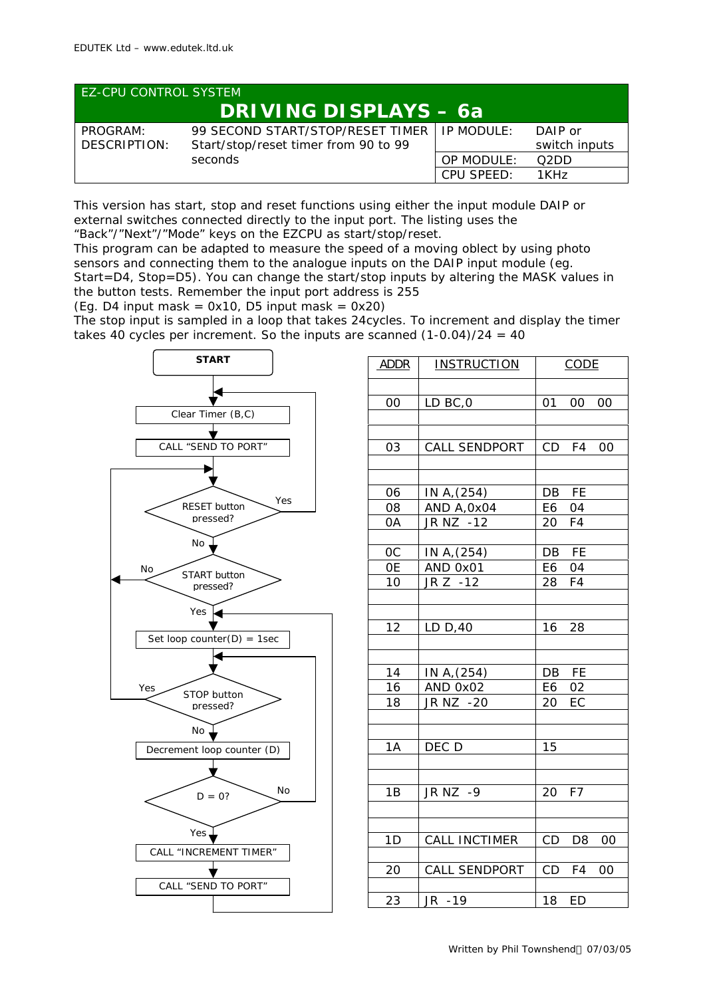| <b>EZ-CPU CONTROL SYSTEM</b> |                                                                                       |            |                          |  |
|------------------------------|---------------------------------------------------------------------------------------|------------|--------------------------|--|
| <b>DRIVING DISPLAYS - 6a</b> |                                                                                       |            |                          |  |
| PROGRAM:<br>DESCRIPTION:     | 99 SECOND START/STOP/RESET TIMER   IP MODULE:<br>Start/stop/reset timer from 90 to 99 |            | DAIP or<br>switch inputs |  |
|                              | seconds                                                                               | OP MODULE: | O <sub>2</sub> DD        |  |
|                              |                                                                                       | CPU SPEED: | 1KHz                     |  |

This version has start, stop and reset functions using either the input module DAIP or external switches connected directly to the input port. The listing uses the "Back"/"Next"/"Mode" keys on the EZCPU as start/stop/reset.

This program can be adapted to measure the speed of a moving oblect by using photo sensors and connecting them to the analogue inputs on the DAIP input module (eg. Start=D4, Stop=D5). You can change the start/stop inputs by altering the MASK values in the button tests. Remember the input port address is 255

(Eg. D4 input mask =  $0x10$ , D5 input mask =  $0x20$ )

The stop input is sampled in a loop that takes 24cycles. To increment and display the timer takes 40 cycles per increment. So the inputs are scanned  $(1-0.04)/24 = 40$ 



| <b>ADDR</b> | <b>INSTRUCTION</b>            |    | <b>CODE</b>    |    |
|-------------|-------------------------------|----|----------------|----|
| 00          | LD BC, 0                      | 01 | $00\,$         | 00 |
|             |                               |    |                |    |
| 03          | CALL SENDPORT                 | CD | F4             | 00 |
| 06          | IN A, (254)                   | DB | FE             |    |
| 08          | AND A, 0x04                   | E6 | 04             |    |
| 0A          | JR NZ -12                     | 20 | F4             |    |
| 0C          | IN A, (254)                   | DB | FE             |    |
| 0E          | AND 0x01                      | E6 | 04             |    |
| 10          | $JR Z - 12$                   | 28 | F <sub>4</sub> |    |
| 12          | LD D, 40                      | 16 | 28             |    |
| 14          | IN A, (254)                   | DB | FE             |    |
| 16          | AND 0x02                      | E6 | 02             |    |
| 18          | $\overline{\text{JR}}$ NZ -20 | 20 | EC             |    |
| 1A          | DEC D                         | 15 |                |    |
| 1B          | JR NZ -9                      | 20 | F7             |    |
| 1D          | <b>CALL INCTIMER</b>          | CD | D <sub>8</sub> | 00 |
| 20          | CALL SENDPORT                 | CD | F4             | 00 |
| 23          | JR -19                        | 18 | ED             |    |